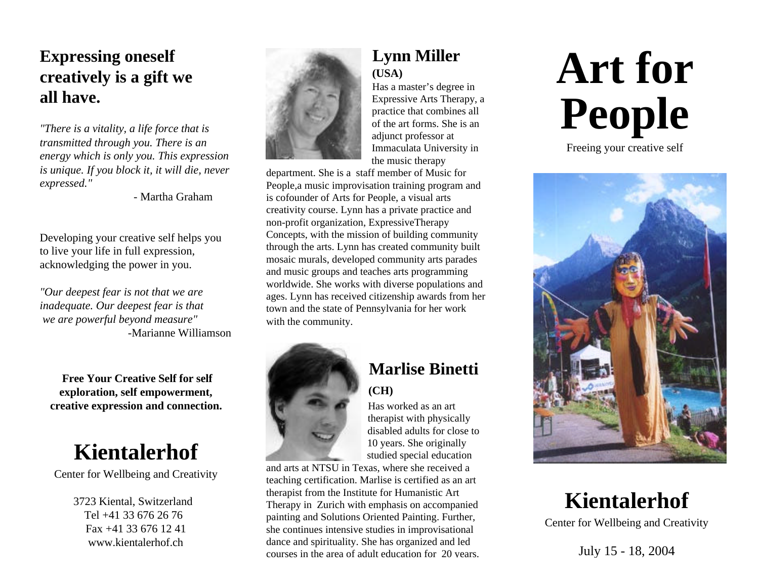# **Expressing oneself creatively is a gift we all have.**

*"There is a vitality, a life force that is transmitted through you. There is an energy which is only you. This expression is unique. If you block it, it will die, never expressed."*

- Martha Graham

Developing your creative self helps you to live your life in full expression, acknowledging the power in you.

*"Our deepest fear is not that we are inadequate. Our deepest fear is that we are powerful beyond measure"* -Marianne Williamson

 **Free Your Creative Self for self exploration, self empowerment, creative expression and connection.**

# **Kientalerhof**

Center for Wellbeing and Creativity

 3723 Kiental, Switzerland Tel +41 33 676 26 76 Fax +41 33 676 12 41 www.kientalerhof.ch



#### **Lynn Miller (USA)**

Has a master's degree in Expressive Arts Therapy, a practice that combines all of the art forms. She is an adjunct professor at Immaculata University in the music therapy

department. She is a staff member of Music for People,a music improvisation training program and is cofounder of Arts for People, a visual arts creativity course. Lynn has a private practice and non-profit organization, ExpressiveTherapy Concepts, with the mission of building community through the arts. Lynn has created community built mosaic murals, developed community arts parades and music groups and teaches arts programming worldwide. She works with diverse populations and ages. Lynn has received citizenship awards from her town and the state of Pennsylvania for her work with the community.



## **Marlise Binetti (CH)**

Has worked as an art therapist with physically disabled adults for close to 10 years. She originally studied special education

and arts at NTSU in Texas, where she received a teaching certification. Marlise is certified as an art therapist from the Institute for Humanistic Art Therapy in Zurich with emphasis on accompanied painting and Solutions Oriented Painting. Further, she continues intensive studies in improvisational dance and spirituality. She has organized and led courses in the area of adult education for 20 years.

# **Art for People**

Freeing your creative self



# **Kientalerhof**

Center for Wellbeing and Creativity

July 15 - 18, 2004